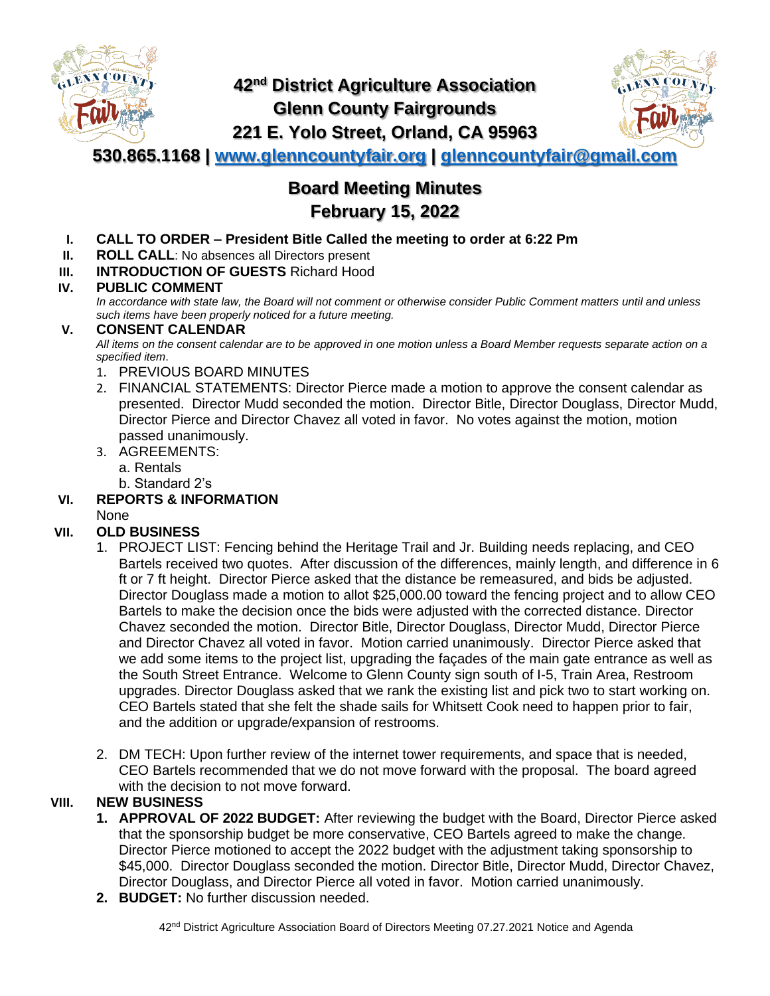

## **42nd District Agriculture Association Glenn County Fairgrounds 221 E. Yolo Street, Orland, CA 95963**



**530.865.1168 | [www.glenncountyfair.org](http://www.glenncountyfair.org/) | [glenncountyfair@gmail.com](mailto:glenncountyfair@gmail.com)**

# **Board Meeting Minutes February 15, 2022**

- **I. CALL TO ORDER – President Bitle Called the meeting to order at 6:22 Pm**
- **II. ROLL CALL**: No absences all Directors present
- **III. INTRODUCTION OF GUESTS** Richard Hood

#### **IV. PUBLIC COMMENT**

*In accordance with state law, the Board will not comment or otherwise consider Public Comment matters until and unless such items have been properly noticed for a future meeting.* 

#### **V. CONSENT CALENDAR**

*All items on the consent calendar are to be approved in one motion unless a Board Member requests separate action on a specified item*.

- 1. PREVIOUS BOARD MINUTES
- 2. FINANCIAL STATEMENTS: Director Pierce made a motion to approve the consent calendar as presented. Director Mudd seconded the motion. Director Bitle, Director Douglass, Director Mudd, Director Pierce and Director Chavez all voted in favor. No votes against the motion, motion passed unanimously.
- 3. AGREEMENTS:
	- a. Rentals b. Standard 2's

## **VI. REPORTS & INFORMATION**

None

## **VII. OLD BUSINESS**

- 1. PROJECT LIST: Fencing behind the Heritage Trail and Jr. Building needs replacing, and CEO Bartels received two quotes. After discussion of the differences, mainly length, and difference in 6 ft or 7 ft height. Director Pierce asked that the distance be remeasured, and bids be adjusted. Director Douglass made a motion to allot \$25,000.00 toward the fencing project and to allow CEO Bartels to make the decision once the bids were adjusted with the corrected distance. Director Chavez seconded the motion. Director Bitle, Director Douglass, Director Mudd, Director Pierce and Director Chavez all voted in favor. Motion carried unanimously. Director Pierce asked that we add some items to the project list, upgrading the façades of the main gate entrance as well as the South Street Entrance. Welcome to Glenn County sign south of I-5, Train Area, Restroom upgrades. Director Douglass asked that we rank the existing list and pick two to start working on. CEO Bartels stated that she felt the shade sails for Whitsett Cook need to happen prior to fair, and the addition or upgrade/expansion of restrooms.
- 2. DM TECH: Upon further review of the internet tower requirements, and space that is needed, CEO Bartels recommended that we do not move forward with the proposal. The board agreed with the decision to not move forward.

### **VIII. NEW BUSINESS**

- **1. APPROVAL OF 2022 BUDGET:** After reviewing the budget with the Board, Director Pierce asked that the sponsorship budget be more conservative, CEO Bartels agreed to make the change. Director Pierce motioned to accept the 2022 budget with the adjustment taking sponsorship to \$45,000. Director Douglass seconded the motion. Director Bitle, Director Mudd, Director Chavez, Director Douglass, and Director Pierce all voted in favor. Motion carried unanimously.
- **2. BUDGET:** No further discussion needed.